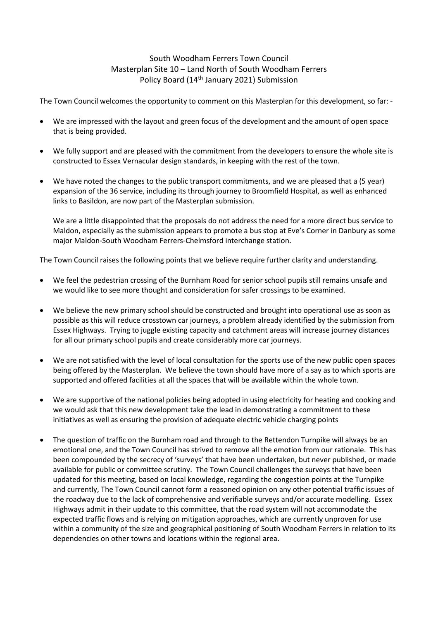## South Woodham Ferrers Town Council Masterplan Site 10 – Land North of South Woodham Ferrers Policy Board (14<sup>th</sup> January 2021) Submission

The Town Council welcomes the opportunity to comment on this Masterplan for this development, so far: -

- We are impressed with the layout and green focus of the development and the amount of open space that is being provided.
- We fully support and are pleased with the commitment from the developers to ensure the whole site is constructed to Essex Vernacular design standards, in keeping with the rest of the town.
- We have noted the changes to the public transport commitments, and we are pleased that a (5 year) expansion of the 36 service, including its through journey to Broomfield Hospital, as well as enhanced links to Basildon, are now part of the Masterplan submission.

We are a little disappointed that the proposals do not address the need for a more direct bus service to Maldon, especially as the submission appears to promote a bus stop at Eve's Corner in Danbury as some major Maldon-South Woodham Ferrers-Chelmsford interchange station.

The Town Council raises the following points that we believe require further clarity and understanding.

- We feel the pedestrian crossing of the Burnham Road for senior school pupils still remains unsafe and we would like to see more thought and consideration for safer crossings to be examined.
- We believe the new primary school should be constructed and brought into operational use as soon as possible as this will reduce crosstown car journeys, a problem already identified by the submission from Essex Highways. Trying to juggle existing capacity and catchment areas will increase journey distances for all our primary school pupils and create considerably more car journeys.
- We are not satisfied with the level of local consultation for the sports use of the new public open spaces being offered by the Masterplan. We believe the town should have more of a say as to which sports are supported and offered facilities at all the spaces that will be available within the whole town.
- We are supportive of the national policies being adopted in using electricity for heating and cooking and we would ask that this new development take the lead in demonstrating a commitment to these initiatives as well as ensuring the provision of adequate electric vehicle charging points
- The question of traffic on the Burnham road and through to the Rettendon Turnpike will always be an emotional one, and the Town Council has strived to remove all the emotion from our rationale. This has been compounded by the secrecy of 'surveys' that have been undertaken, but never published, or made available for public or committee scrutiny. The Town Council challenges the surveys that have been updated for this meeting, based on local knowledge, regarding the congestion points at the Turnpike and currently, The Town Council cannot form a reasoned opinion on any other potential traffic issues of the roadway due to the lack of comprehensive and verifiable surveys and/or accurate modelling. Essex Highways admit in their update to this committee, that the road system will not accommodate the expected traffic flows and is relying on mitigation approaches, which are currently unproven for use within a community of the size and geographical positioning of South Woodham Ferrers in relation to its dependencies on other towns and locations within the regional area.